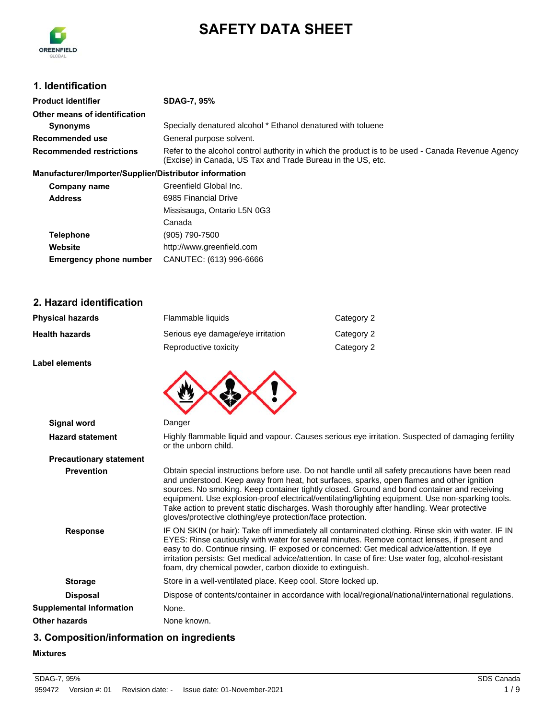

# **SAFETY DATA SHEET**

## **1. Identification**

| <b>Product identifier</b>                              | <b>SDAG-7, 95%</b>                                                                                                                                               |
|--------------------------------------------------------|------------------------------------------------------------------------------------------------------------------------------------------------------------------|
| Other means of identification                          |                                                                                                                                                                  |
| Synonyms                                               | Specially denatured alcohol * Ethanol denatured with toluene                                                                                                     |
| Recommended use                                        | General purpose solvent.                                                                                                                                         |
| <b>Recommended restrictions</b>                        | Refer to the alcohol control authority in which the product is to be used - Canada Revenue Agency<br>(Excise) in Canada, US Tax and Trade Bureau in the US, etc. |
| Manufacturer/Importer/Supplier/Distributor information |                                                                                                                                                                  |
| Company name                                           | Greenfield Global Inc.                                                                                                                                           |

| Company name                  | OIGGIIIIGIU OIUDAI IIIU.    |
|-------------------------------|-----------------------------|
| <b>Address</b>                | 6985 Financial Drive        |
|                               | Missisauga, Ontario L5N 0G3 |
|                               | Canada                      |
| <b>Telephone</b>              | (905) 790-7500              |
| Website                       | http://www.greenfield.com   |
| <b>Emergency phone number</b> | CANUTEC: (613) 996-6666     |
|                               |                             |

#### **2. Hazard identification**

| <b>Physical hazards</b> | Flammable liquids                 | Category 2 |
|-------------------------|-----------------------------------|------------|
| <b>Health hazards</b>   | Serious eye damage/eye irritation | Category 2 |
|                         | Reproductive toxicity             | Category 2 |

**Label elements**



| <b>Hazard statement</b>        | Highly flammable liquid and vapour. Causes serious eye irritation. Suspected of damaging fertility<br>or the unborn child.                                                                   |
|--------------------------------|----------------------------------------------------------------------------------------------------------------------------------------------------------------------------------------------|
| <b>Precautionary statement</b> |                                                                                                                                                                                              |
| <b>Prevention</b>              | Obtain special instructions before use. Do not handle until all safety precautions have been read<br>and understood Keep away from boat bot surfaces, sparks, open flames and other ignition |

| <b>Prevention</b>               | Obtain special instructions before use. Do not handle until all safety precautions have been read<br>and understood. Keep away from heat, hot surfaces, sparks, open flames and other ignition<br>sources. No smoking. Keep container tightly closed. Ground and bond container and receiving<br>equipment. Use explosion-proof electrical/ventilating/lighting equipment. Use non-sparking tools.<br>Take action to prevent static discharges. Wash thoroughly after handling. Wear protective<br>gloves/protective clothing/eye protection/face protection. |
|---------------------------------|---------------------------------------------------------------------------------------------------------------------------------------------------------------------------------------------------------------------------------------------------------------------------------------------------------------------------------------------------------------------------------------------------------------------------------------------------------------------------------------------------------------------------------------------------------------|
| <b>Response</b>                 | IF ON SKIN (or hair): Take off immediately all contaminated clothing. Rinse skin with water. IF IN<br>EYES: Rinse cautiously with water for several minutes. Remove contact lenses, if present and<br>easy to do. Continue rinsing. IF exposed or concerned: Get medical advice/attention. If eye<br>irritation persists: Get medical advice/attention. In case of fire: Use water fog, alcohol-resistant<br>foam, dry chemical powder, carbon dioxide to extinguish.                                                                                         |
| <b>Storage</b>                  | Store in a well-ventilated place. Keep cool. Store locked up.                                                                                                                                                                                                                                                                                                                                                                                                                                                                                                 |
| <b>Disposal</b>                 | Dispose of contents/container in accordance with local/regional/national/international regulations.                                                                                                                                                                                                                                                                                                                                                                                                                                                           |
| <b>Supplemental information</b> | None.                                                                                                                                                                                                                                                                                                                                                                                                                                                                                                                                                         |
| Other hazards                   | None known.                                                                                                                                                                                                                                                                                                                                                                                                                                                                                                                                                   |

## **3. Composition/information on ingredients**

#### **Mixtures**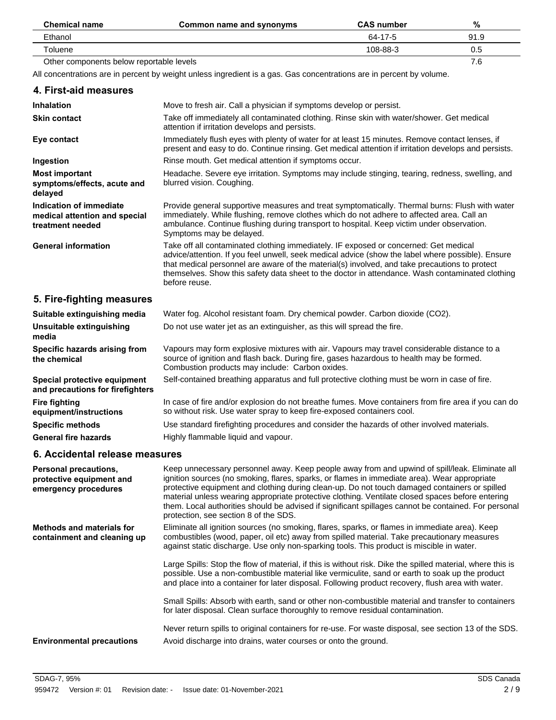| <b>Chemical name</b>                     | Common name and synonyms | <b>CAS</b> number | %    |
|------------------------------------------|--------------------------|-------------------|------|
| Ethanol                                  |                          | 64-17-5           | 91.9 |
| Toluene                                  |                          | 108-88-3          | 0.5  |
| Other components below reportable levels |                          |                   | 7.6  |

All concentrations are in percent by weight unless ingredient is a gas. Gas concentrations are in percent by volume.

| 4. First-aid measures                                                        |                                                                                                                                                                                                                                                                                                                                                                                                                |
|------------------------------------------------------------------------------|----------------------------------------------------------------------------------------------------------------------------------------------------------------------------------------------------------------------------------------------------------------------------------------------------------------------------------------------------------------------------------------------------------------|
| <b>Inhalation</b>                                                            | Move to fresh air. Call a physician if symptoms develop or persist.                                                                                                                                                                                                                                                                                                                                            |
| <b>Skin contact</b>                                                          | Take off immediately all contaminated clothing. Rinse skin with water/shower. Get medical<br>attention if irritation develops and persists.                                                                                                                                                                                                                                                                    |
| Eye contact                                                                  | Immediately flush eyes with plenty of water for at least 15 minutes. Remove contact lenses, if<br>present and easy to do. Continue rinsing. Get medical attention if irritation develops and persists.                                                                                                                                                                                                         |
| Ingestion                                                                    | Rinse mouth. Get medical attention if symptoms occur.                                                                                                                                                                                                                                                                                                                                                          |
| <b>Most important</b><br>symptoms/effects, acute and<br>delayed              | Headache. Severe eye irritation. Symptoms may include stinging, tearing, redness, swelling, and<br>blurred vision. Coughing.                                                                                                                                                                                                                                                                                   |
| Indication of immediate<br>medical attention and special<br>treatment needed | Provide general supportive measures and treat symptomatically. Thermal burns: Flush with water<br>immediately. While flushing, remove clothes which do not adhere to affected area. Call an<br>ambulance. Continue flushing during transport to hospital. Keep victim under observation.<br>Symptoms may be delayed.                                                                                           |
| <b>General information</b>                                                   | Take off all contaminated clothing immediately. IF exposed or concerned: Get medical<br>advice/attention. If you feel unwell, seek medical advice (show the label where possible). Ensure<br>that medical personnel are aware of the material(s) involved, and take precautions to protect<br>themselves. Show this safety data sheet to the doctor in attendance. Wash contaminated clothing<br>before reuse. |
| 5. Fire-fighting measures                                                    |                                                                                                                                                                                                                                                                                                                                                                                                                |
| Suitable extinguishing media                                                 | Water fog. Alcohol resistant foam. Dry chemical powder. Carbon dioxide (CO2).                                                                                                                                                                                                                                                                                                                                  |
| Unsuitable extinguishing                                                     | Do not use water jet as an extinguisher, as this will spread the fire.                                                                                                                                                                                                                                                                                                                                         |

Combustion products may include: Carbon oxides.

**Special protective equipment** Self-contained breathing apparatus and full protective clothing must be worn in case of fire.

**Specific methods** Use standard firefighting procedures and consider the hazards of other involved materials.

so without risk. Use water spray to keep fire-exposed containers cool.

Vapours may form explosive mixtures with air. Vapours may travel considerable distance to a source of ignition and flash back. During fire, gases hazardous to health may be formed.

In case of fire and/or explosion do not breathe fumes. Move containers from fire area if you can do

#### **6. Accidental release measures**

**Specific hazards arising from**

**and precautions for firefighters**

**equipment/instructions**

**media**

**the chemical**

**Fire fighting**

| <b>Personal precautions,</b><br>protective equipment and<br>emergency procedures | Keep unnecessary personnel away. Keep people away from and upwind of spill/leak. Eliminate all<br>ignition sources (no smoking, flares, sparks, or flames in immediate area). Wear appropriate<br>protective equipment and clothing during clean-up. Do not touch damaged containers or spilled<br>material unless wearing appropriate protective clothing. Ventilate closed spaces before entering<br>them. Local authorities should be advised if significant spillages cannot be contained. For personal<br>protection, see section 8 of the SDS. |
|----------------------------------------------------------------------------------|------------------------------------------------------------------------------------------------------------------------------------------------------------------------------------------------------------------------------------------------------------------------------------------------------------------------------------------------------------------------------------------------------------------------------------------------------------------------------------------------------------------------------------------------------|
| <b>Methods and materials for</b><br>containment and cleaning up                  | Eliminate all ignition sources (no smoking, flares, sparks, or flames in immediate area). Keep<br>combustibles (wood, paper, oil etc) away from spilled material. Take precautionary measures<br>against static discharge. Use only non-sparking tools. This product is miscible in water.                                                                                                                                                                                                                                                           |
|                                                                                  | Large Spills: Stop the flow of material, if this is without risk. Dike the spilled material, where this is<br>possible. Use a non-combustible material like vermiculite, sand or earth to soak up the product<br>and place into a container for later disposal. Following product recovery, flush area with water.                                                                                                                                                                                                                                   |
|                                                                                  | Small Spills: Absorb with earth, sand or other non-combustible material and transfer to containers<br>for later disposal. Clean surface thoroughly to remove residual contamination.                                                                                                                                                                                                                                                                                                                                                                 |
| <b>Environmental precautions</b>                                                 | Never return spills to original containers for re-use. For waste disposal, see section 13 of the SDS.<br>Avoid discharge into drains, water courses or onto the ground.                                                                                                                                                                                                                                                                                                                                                                              |

**General fire hazards** Highly flammable liquid and vapour.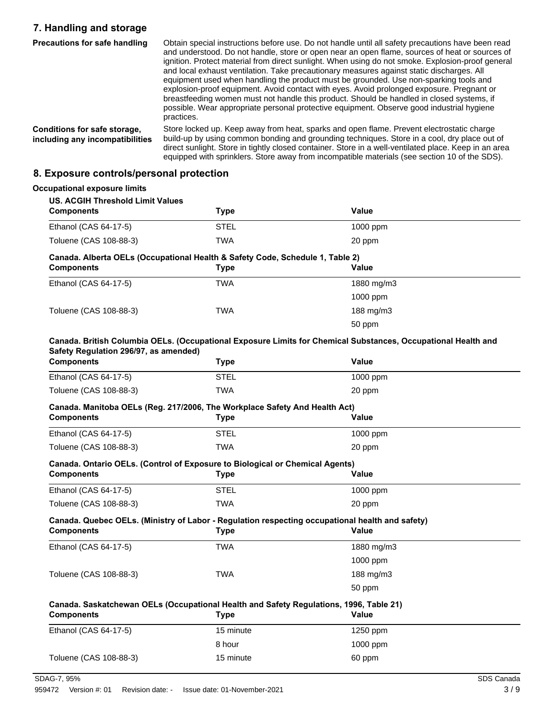## **7. Handling and storage**

| <b>Precautions for safe handling</b>                            | Obtain special instructions before use. Do not handle until all safety precautions have been read<br>and understood. Do not handle, store or open near an open flame, sources of heat or sources of<br>ignition. Protect material from direct sunlight. When using do not smoke. Explosion-proof general<br>and local exhaust ventilation. Take precautionary measures against static discharges. All<br>equipment used when handling the product must be grounded. Use non-sparking tools and<br>explosion-proof equipment. Avoid contact with eyes. Avoid prolonged exposure. Pregnant or<br>breastfeeding women must not handle this product. Should be handled in closed systems, if<br>possible. Wear appropriate personal protective equipment. Observe good industrial hygiene<br>practices. |
|-----------------------------------------------------------------|-----------------------------------------------------------------------------------------------------------------------------------------------------------------------------------------------------------------------------------------------------------------------------------------------------------------------------------------------------------------------------------------------------------------------------------------------------------------------------------------------------------------------------------------------------------------------------------------------------------------------------------------------------------------------------------------------------------------------------------------------------------------------------------------------------|
| Conditions for safe storage,<br>including any incompatibilities | Store locked up. Keep away from heat, sparks and open flame. Prevent electrostatic charge<br>build-up by using common bonding and grounding techniques. Store in a cool, dry place out of<br>direct sunlight. Store in tightly closed container. Store in a well-ventilated place. Keep in an area<br>equipped with sprinklers. Store away from incompatible materials (see section 10 of the SDS).                                                                                                                                                                                                                                                                                                                                                                                                 |

## **8. Exposure controls/personal protection**

| <b>US. ACGIH Threshold Limit Values</b><br><b>Components</b>                                                                                                   | <b>Type</b> | <b>Value</b>                                                                                                  |  |
|----------------------------------------------------------------------------------------------------------------------------------------------------------------|-------------|---------------------------------------------------------------------------------------------------------------|--|
| Ethanol (CAS 64-17-5)                                                                                                                                          | <b>STEL</b> | 1000 ppm                                                                                                      |  |
| Toluene (CAS 108-88-3)                                                                                                                                         | <b>TWA</b>  | 20 ppm                                                                                                        |  |
| Canada. Alberta OELs (Occupational Health & Safety Code, Schedule 1, Table 2)                                                                                  |             |                                                                                                               |  |
| <b>Components</b>                                                                                                                                              | <b>Type</b> | <b>Value</b>                                                                                                  |  |
| Ethanol (CAS 64-17-5)                                                                                                                                          | <b>TWA</b>  | 1880 mg/m3                                                                                                    |  |
|                                                                                                                                                                |             | 1000 ppm                                                                                                      |  |
| Toluene (CAS 108-88-3)                                                                                                                                         | TWA         | 188 mg/m3                                                                                                     |  |
|                                                                                                                                                                |             | 50 ppm                                                                                                        |  |
|                                                                                                                                                                |             | Canada. British Columbia OELs. (Occupational Exposure Limits for Chemical Substances, Occupational Health and |  |
| Safety Regulation 296/97, as amended)                                                                                                                          |             |                                                                                                               |  |
| <b>Components</b>                                                                                                                                              | <b>Type</b> | <b>Value</b>                                                                                                  |  |
| Ethanol (CAS 64-17-5)                                                                                                                                          | <b>STEL</b> | 1000 ppm                                                                                                      |  |
| Toluene (CAS 108-88-3)                                                                                                                                         | <b>TWA</b>  | 20 ppm                                                                                                        |  |
| Canada. Manitoba OELs (Reg. 217/2006, The Workplace Safety And Health Act)                                                                                     |             |                                                                                                               |  |
| <b>Components</b>                                                                                                                                              | <b>Type</b> | <b>Value</b>                                                                                                  |  |
| Ethanol (CAS 64-17-5)                                                                                                                                          | <b>STEL</b> | 1000 ppm                                                                                                      |  |
| Toluene (CAS 108-88-3)                                                                                                                                         | <b>TWA</b>  | 20 ppm                                                                                                        |  |
| Canada. Ontario OELs. (Control of Exposure to Biological or Chemical Agents)                                                                                   |             |                                                                                                               |  |
| <b>Components</b>                                                                                                                                              | <b>Type</b> | Value                                                                                                         |  |
| Ethanol (CAS 64-17-5)                                                                                                                                          | <b>STEL</b> | 1000 ppm                                                                                                      |  |
| Toluene (CAS 108-88-3)                                                                                                                                         | <b>TWA</b>  | 20 ppm                                                                                                        |  |
| Canada. Quebec OELs. (Ministry of Labor - Regulation respecting occupational health and safety)                                                                |             |                                                                                                               |  |
| <b>Components</b>                                                                                                                                              | <b>Type</b> | Value                                                                                                         |  |
|                                                                                                                                                                |             |                                                                                                               |  |
|                                                                                                                                                                | <b>TWA</b>  | 1880 mg/m $3$                                                                                                 |  |
| Ethanol (CAS 64-17-5)                                                                                                                                          |             | 1000 ppm                                                                                                      |  |
|                                                                                                                                                                | <b>TWA</b>  | 188 mg/m3                                                                                                     |  |
|                                                                                                                                                                |             | 50 ppm                                                                                                        |  |
|                                                                                                                                                                |             |                                                                                                               |  |
|                                                                                                                                                                | <b>Type</b> | Value                                                                                                         |  |
|                                                                                                                                                                | 15 minute   | 1250 ppm                                                                                                      |  |
| Toluene (CAS 108-88-3)<br>Canada. Saskatchewan OELs (Occupational Health and Safety Regulations, 1996, Table 21)<br><b>Components</b><br>Ethanol (CAS 64-17-5) | 8 hour      | 1000 ppm                                                                                                      |  |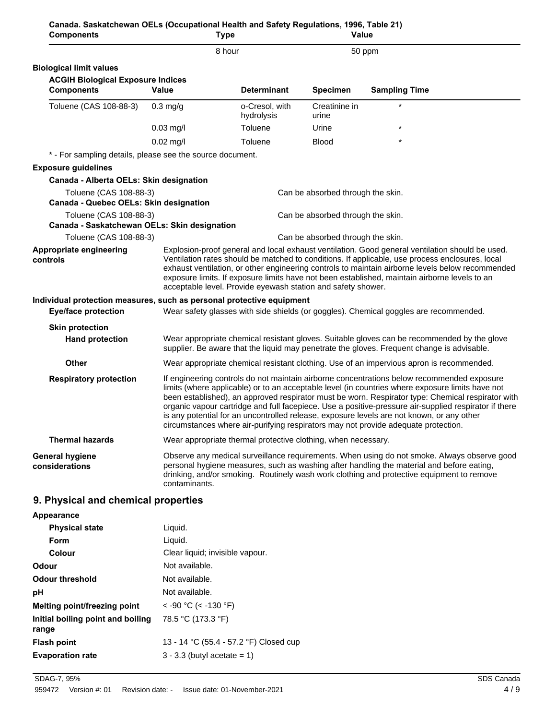|                                                                                                                                                                                                                                                                                                                                                                                                                                                                                                                                                                                                 | Canada. Saskatchewan OELs (Occupational Health and Safety Regulations, 1996, Table 21)<br>Value |                                                                                       |
|-------------------------------------------------------------------------------------------------------------------------------------------------------------------------------------------------------------------------------------------------------------------------------------------------------------------------------------------------------------------------------------------------------------------------------------------------------------------------------------------------------------------------------------------------------------------------------------------------|-------------------------------------------------------------------------------------------------|---------------------------------------------------------------------------------------|
| 8 hour                                                                                                                                                                                                                                                                                                                                                                                                                                                                                                                                                                                          |                                                                                                 | 50 ppm                                                                                |
|                                                                                                                                                                                                                                                                                                                                                                                                                                                                                                                                                                                                 |                                                                                                 |                                                                                       |
|                                                                                                                                                                                                                                                                                                                                                                                                                                                                                                                                                                                                 |                                                                                                 |                                                                                       |
| <b>Determinant</b>                                                                                                                                                                                                                                                                                                                                                                                                                                                                                                                                                                              | <b>Specimen</b>                                                                                 | <b>Sampling Time</b>                                                                  |
| o-Cresol, with<br>hydrolysis                                                                                                                                                                                                                                                                                                                                                                                                                                                                                                                                                                    | Creatinine in<br>urine                                                                          |                                                                                       |
| Toluene                                                                                                                                                                                                                                                                                                                                                                                                                                                                                                                                                                                         | Urine                                                                                           |                                                                                       |
| Toluene                                                                                                                                                                                                                                                                                                                                                                                                                                                                                                                                                                                         | <b>Blood</b>                                                                                    |                                                                                       |
| * - For sampling details, please see the source document.                                                                                                                                                                                                                                                                                                                                                                                                                                                                                                                                       |                                                                                                 |                                                                                       |
|                                                                                                                                                                                                                                                                                                                                                                                                                                                                                                                                                                                                 |                                                                                                 |                                                                                       |
|                                                                                                                                                                                                                                                                                                                                                                                                                                                                                                                                                                                                 |                                                                                                 |                                                                                       |
|                                                                                                                                                                                                                                                                                                                                                                                                                                                                                                                                                                                                 | Can be absorbed through the skin.                                                               |                                                                                       |
|                                                                                                                                                                                                                                                                                                                                                                                                                                                                                                                                                                                                 |                                                                                                 |                                                                                       |
|                                                                                                                                                                                                                                                                                                                                                                                                                                                                                                                                                                                                 | Can be absorbed through the skin.                                                               |                                                                                       |
|                                                                                                                                                                                                                                                                                                                                                                                                                                                                                                                                                                                                 | Can be absorbed through the skin.                                                               |                                                                                       |
| Explosion-proof general and local exhaust ventilation. Good general ventilation should be used.<br>Ventilation rates should be matched to conditions. If applicable, use process enclosures, local<br>exhaust ventilation, or other engineering controls to maintain airborne levels below recommended<br>exposure limits. If exposure limits have not been established, maintain airborne levels to an<br>acceptable level. Provide eyewash station and safety shower.                                                                                                                         |                                                                                                 |                                                                                       |
| Individual protection measures, such as personal protective equipment                                                                                                                                                                                                                                                                                                                                                                                                                                                                                                                           |                                                                                                 |                                                                                       |
|                                                                                                                                                                                                                                                                                                                                                                                                                                                                                                                                                                                                 |                                                                                                 | Wear safety glasses with side shields (or goggles). Chemical goggles are recommended. |
|                                                                                                                                                                                                                                                                                                                                                                                                                                                                                                                                                                                                 |                                                                                                 |                                                                                       |
| Wear appropriate chemical resistant gloves. Suitable gloves can be recommended by the glove<br>supplier. Be aware that the liquid may penetrate the gloves. Frequent change is advisable.                                                                                                                                                                                                                                                                                                                                                                                                       |                                                                                                 |                                                                                       |
| Wear appropriate chemical resistant clothing. Use of an impervious apron is recommended.                                                                                                                                                                                                                                                                                                                                                                                                                                                                                                        |                                                                                                 |                                                                                       |
| If engineering controls do not maintain airborne concentrations below recommended exposure<br>limits (where applicable) or to an acceptable level (in countries where exposure limits have not<br>been established), an approved respirator must be worn. Respirator type: Chemical respirator with<br>organic vapour cartridge and full facepiece. Use a positive-pressure air-supplied respirator if there<br>is any potential for an uncontrolled release, exposure levels are not known, or any other<br>circumstances where air-purifying respirators may not provide adequate protection. |                                                                                                 |                                                                                       |
|                                                                                                                                                                                                                                                                                                                                                                                                                                                                                                                                                                                                 | Wear appropriate thermal protective clothing, when necessary.                                   |                                                                                       |
| Observe any medical surveillance requirements. When using do not smoke. Always observe good<br>personal hygiene measures, such as washing after handling the material and before eating,<br>drinking, and/or smoking. Routinely wash work clothing and protective equipment to remove<br>contaminants.                                                                                                                                                                                                                                                                                          |                                                                                                 |                                                                                       |
|                                                                                                                                                                                                                                                                                                                                                                                                                                                                                                                                                                                                 |                                                                                                 |                                                                                       |

| <b>Appearance</b>                          |                                        |
|--------------------------------------------|----------------------------------------|
| <b>Physical state</b>                      | Liquid.                                |
| Form                                       | Liquid.                                |
| Colour                                     | Clear liquid; invisible vapour.        |
| Odour                                      | Not available.                         |
| <b>Odour threshold</b>                     | Not available.                         |
| рH                                         | Not available.                         |
| Melting point/freezing point               | $<$ -90 °C ( $<$ -130 °F)              |
| Initial boiling point and boiling<br>range | 78.5 °C (173.3 °F)                     |
| <b>Flash point</b>                         | 13 - 14 °C (55.4 - 57.2 °F) Closed cup |
| <b>Evaporation rate</b>                    | $3 - 3.3$ (butyl acetate = 1)          |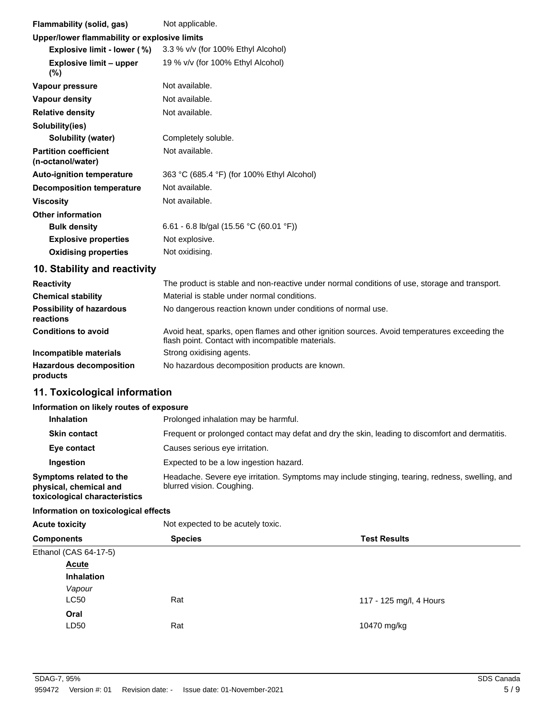| Flammability (solid, gas)                         | Not applicable.                                                                        |
|---------------------------------------------------|----------------------------------------------------------------------------------------|
| Upper/lower flammability or explosive limits      |                                                                                        |
| Explosive limit - lower (%)                       | 3.3 % v/v (for 100% Ethyl Alcohol)                                                     |
| <b>Explosive limit - upper</b><br>$(\%)$          | 19 % v/v (for 100% Ethyl Alcohol)                                                      |
| Vapour pressure                                   | Not available.                                                                         |
| Vapour density                                    | Not available.                                                                         |
| <b>Relative density</b>                           | Not available.                                                                         |
| Solubility(ies)                                   |                                                                                        |
| Solubility (water)                                | Completely soluble.                                                                    |
| <b>Partition coefficient</b><br>(n-octanol/water) | Not available.                                                                         |
| <b>Auto-ignition temperature</b>                  | 363 °C (685.4 °F) (for 100% Ethyl Alcohol)                                             |
| <b>Decomposition temperature</b>                  | Not available.                                                                         |
| <b>Viscosity</b>                                  | Not available.                                                                         |
| Other information                                 |                                                                                        |
| <b>Bulk density</b>                               | 6.61 - 6.8 lb/gal (15.56 °C (60.01 °F))                                                |
| <b>Explosive properties</b>                       | Not explosive.                                                                         |
| <b>Oxidising properties</b>                       | Not oxidising.                                                                         |
| 10. Stability and reactivity                      |                                                                                        |
|                                                   | The number is stable and non-reactive varies nonsel acoditions of variety and and then |

| <b>Reactivity</b>                            | The product is stable and non-reactive under normal conditions of use, storage and transport.                                                     |
|----------------------------------------------|---------------------------------------------------------------------------------------------------------------------------------------------------|
| <b>Chemical stability</b>                    | Material is stable under normal conditions.                                                                                                       |
| <b>Possibility of hazardous</b><br>reactions | No dangerous reaction known under conditions of normal use.                                                                                       |
| <b>Conditions to avoid</b>                   | Avoid heat, sparks, open flames and other ignition sources. Avoid temperatures exceeding the<br>flash point. Contact with incompatible materials. |
| Incompatible materials                       | Strong oxidising agents.                                                                                                                          |
| <b>Hazardous decomposition</b><br>products   | No hazardous decomposition products are known.                                                                                                    |

## **11. Toxicological information**

#### **Information on likely routes of exposure**

| <b>Inhalation</b>                                                                  | Prolonged inhalation may be harmful.                                                                                         |
|------------------------------------------------------------------------------------|------------------------------------------------------------------------------------------------------------------------------|
| <b>Skin contact</b>                                                                | Frequent or prolonged contact may defat and dry the skin, leading to discomfort and dermatitis.                              |
| Eye contact                                                                        | Causes serious eye irritation.                                                                                               |
| Ingestion                                                                          | Expected to be a low ingestion hazard.                                                                                       |
| Symptoms related to the<br>physical, chemical and<br>toxicological characteristics | Headache. Severe eye irritation. Symptoms may include stinging, tearing, redness, swelling, and<br>blurred vision. Coughing. |

#### **Information on toxicological effects**

| <b>Acute toxicity</b> | Not expected to be acutely toxic. |                         |  |
|-----------------------|-----------------------------------|-------------------------|--|
| <b>Components</b>     | <b>Species</b>                    | <b>Test Results</b>     |  |
| Ethanol (CAS 64-17-5) |                                   |                         |  |
| <b>Acute</b>          |                                   |                         |  |
| <b>Inhalation</b>     |                                   |                         |  |
| Vapour                |                                   |                         |  |
| LC50                  | Rat                               | 117 - 125 mg/l, 4 Hours |  |
| Oral                  |                                   |                         |  |
| LD50                  | Rat                               | 10470 mg/kg             |  |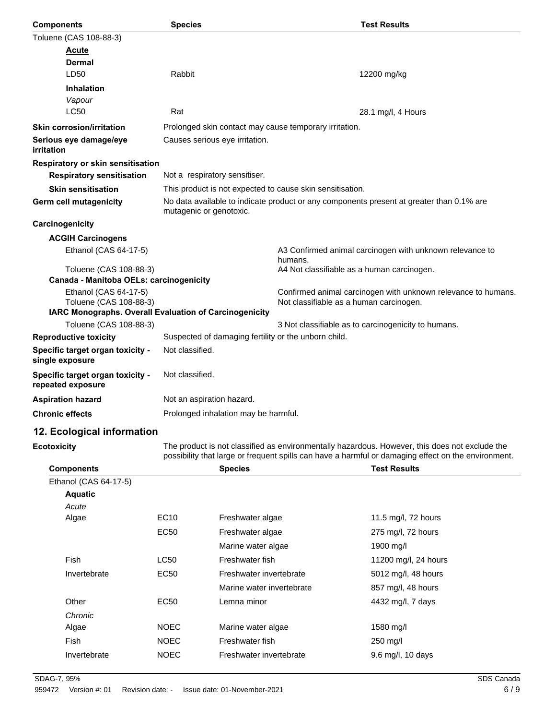| <b>Components</b>                                     | <b>Species</b>                                            | <b>Test Results</b>                                                                      |
|-------------------------------------------------------|-----------------------------------------------------------|------------------------------------------------------------------------------------------|
| Toluene (CAS 108-88-3)                                |                                                           |                                                                                          |
| <b>Acute</b>                                          |                                                           |                                                                                          |
| Dermal                                                |                                                           |                                                                                          |
| LD50                                                  | Rabbit                                                    | 12200 mg/kg                                                                              |
| <b>Inhalation</b>                                     |                                                           |                                                                                          |
| Vapour                                                |                                                           |                                                                                          |
| <b>LC50</b>                                           | Rat                                                       | 28.1 mg/l, 4 Hours                                                                       |
| <b>Skin corrosion/irritation</b>                      | Prolonged skin contact may cause temporary irritation.    |                                                                                          |
| Serious eye damage/eye<br>irritation                  | Causes serious eye irritation.                            |                                                                                          |
| <b>Respiratory or skin sensitisation</b>              |                                                           |                                                                                          |
| <b>Respiratory sensitisation</b>                      | Not a respiratory sensitiser.                             |                                                                                          |
| <b>Skin sensitisation</b>                             | This product is not expected to cause skin sensitisation. |                                                                                          |
| Germ cell mutagenicity                                | mutagenic or genotoxic.                                   | No data available to indicate product or any components present at greater than 0.1% are |
| Carcinogenicity                                       |                                                           |                                                                                          |
| <b>ACGIH Carcinogens</b>                              |                                                           |                                                                                          |
| Ethanol (CAS 64-17-5)                                 |                                                           | A3 Confirmed animal carcinogen with unknown relevance to<br>humans.                      |
| Toluene (CAS 108-88-3)                                |                                                           | A4 Not classifiable as a human carcinogen.                                               |
| Canada - Manitoba OELs: carcinogenicity               |                                                           |                                                                                          |
| Ethanol (CAS 64-17-5)<br>Toluene (CAS 108-88-3)       |                                                           | Confirmed animal carcinogen with unknown relevance to humans.                            |
|                                                       | IARC Monographs. Overall Evaluation of Carcinogenicity    | Not classifiable as a human carcinogen.                                                  |
| Toluene (CAS 108-88-3)                                |                                                           | 3 Not classifiable as to carcinogenicity to humans.                                      |
| <b>Reproductive toxicity</b>                          | Suspected of damaging fertility or the unborn child.      |                                                                                          |
| Specific target organ toxicity -<br>single exposure   | Not classified.                                           |                                                                                          |
| Specific target organ toxicity -<br>repeated exposure | Not classified.                                           |                                                                                          |
| <b>Aspiration hazard</b>                              | Not an aspiration hazard.                                 |                                                                                          |
| <b>Chronic effects</b>                                | Prolonged inhalation may be harmful.                      |                                                                                          |

## **12. Ecological information**

**Ecotoxicity**

The product is not classified as environmentally hazardous. However, this does not exclude the possibility that large or frequent spills can have a harmful or damaging effect on the environment.

| <b>Components</b>     |                  | <b>Species</b>            | <b>Test Results</b>  |
|-----------------------|------------------|---------------------------|----------------------|
| Ethanol (CAS 64-17-5) |                  |                           |                      |
| <b>Aquatic</b>        |                  |                           |                      |
| Acute                 |                  |                           |                      |
| Algae                 | EC <sub>10</sub> | Freshwater algae          | 11.5 mg/l, 72 hours  |
|                       | <b>EC50</b>      | Freshwater algae          | 275 mg/l, 72 hours   |
|                       |                  | Marine water algae        | 1900 mg/l            |
| Fish                  | <b>LC50</b>      | Freshwater fish           | 11200 mg/l, 24 hours |
| Invertebrate          | <b>EC50</b>      | Freshwater invertebrate   | 5012 mg/l, 48 hours  |
|                       |                  | Marine water invertebrate | 857 mg/l, 48 hours   |
| Other                 | EC50             | Lemna minor               | 4432 mg/l, 7 days    |
| Chronic               |                  |                           |                      |
| Algae                 | NOEC             | Marine water algae        | 1580 mg/l            |
| Fish                  | NOEC             | Freshwater fish           | $250$ mg/l           |
| Invertebrate          | NOEC             | Freshwater invertebrate   | 9.6 mg/l, 10 days    |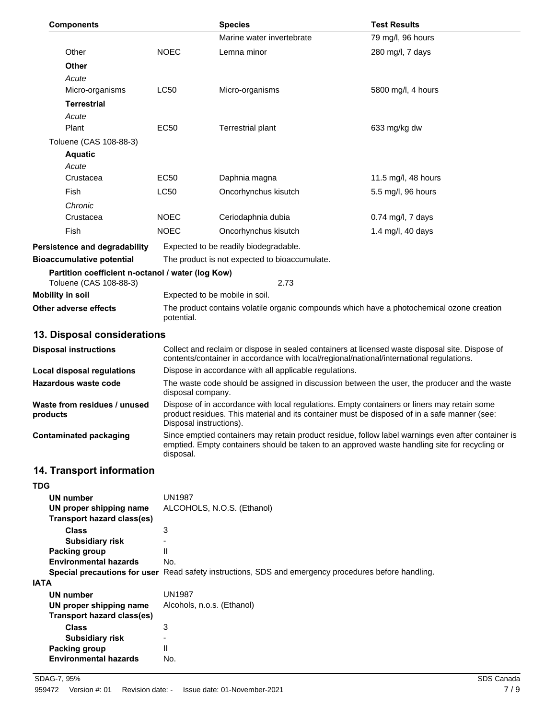| <b>Components</b>                                                           |                                                                                                                                                                                                                        | <b>Species</b>                                         | <b>Test Results</b>                                                                                                                                                                                 |
|-----------------------------------------------------------------------------|------------------------------------------------------------------------------------------------------------------------------------------------------------------------------------------------------------------------|--------------------------------------------------------|-----------------------------------------------------------------------------------------------------------------------------------------------------------------------------------------------------|
|                                                                             |                                                                                                                                                                                                                        | Marine water invertebrate                              | 79 mg/l, 96 hours                                                                                                                                                                                   |
| Other                                                                       | <b>NOEC</b>                                                                                                                                                                                                            | Lemna minor                                            | 280 mg/l, 7 days                                                                                                                                                                                    |
| <b>Other</b>                                                                |                                                                                                                                                                                                                        |                                                        |                                                                                                                                                                                                     |
| Acute                                                                       |                                                                                                                                                                                                                        |                                                        |                                                                                                                                                                                                     |
| Micro-organisms                                                             | <b>LC50</b>                                                                                                                                                                                                            | Micro-organisms                                        | 5800 mg/l, 4 hours                                                                                                                                                                                  |
| <b>Terrestrial</b>                                                          |                                                                                                                                                                                                                        |                                                        |                                                                                                                                                                                                     |
| Acute                                                                       |                                                                                                                                                                                                                        |                                                        |                                                                                                                                                                                                     |
| Plant                                                                       | EC50                                                                                                                                                                                                                   | <b>Terrestrial plant</b>                               | 633 mg/kg dw                                                                                                                                                                                        |
| Toluene (CAS 108-88-3)                                                      |                                                                                                                                                                                                                        |                                                        |                                                                                                                                                                                                     |
| <b>Aquatic</b>                                                              |                                                                                                                                                                                                                        |                                                        |                                                                                                                                                                                                     |
| Acute                                                                       |                                                                                                                                                                                                                        |                                                        |                                                                                                                                                                                                     |
| Crustacea                                                                   | <b>EC50</b>                                                                                                                                                                                                            | Daphnia magna                                          | 11.5 mg/l, 48 hours                                                                                                                                                                                 |
| Fish                                                                        | <b>LC50</b>                                                                                                                                                                                                            | Oncorhynchus kisutch                                   | 5.5 mg/l, 96 hours                                                                                                                                                                                  |
| Chronic                                                                     |                                                                                                                                                                                                                        |                                                        |                                                                                                                                                                                                     |
| Crustacea                                                                   | <b>NOEC</b>                                                                                                                                                                                                            | Ceriodaphnia dubia                                     | $0.74$ mg/l, 7 days                                                                                                                                                                                 |
| Fish                                                                        | <b>NOEC</b>                                                                                                                                                                                                            | Oncorhynchus kisutch                                   | 1.4 mg/l, 40 days                                                                                                                                                                                   |
| Persistence and degradability                                               |                                                                                                                                                                                                                        | Expected to be readily biodegradable.                  |                                                                                                                                                                                                     |
| <b>Bioaccumulative potential</b>                                            |                                                                                                                                                                                                                        | The product is not expected to bioaccumulate.          |                                                                                                                                                                                                     |
| Partition coefficient n-octanol / water (log Kow)<br>Toluene (CAS 108-88-3) |                                                                                                                                                                                                                        | 2.73                                                   |                                                                                                                                                                                                     |
| <b>Mobility in soil</b>                                                     |                                                                                                                                                                                                                        | Expected to be mobile in soil.                         |                                                                                                                                                                                                     |
| <b>Other adverse effects</b>                                                | potential.                                                                                                                                                                                                             |                                                        | The product contains volatile organic compounds which have a photochemical ozone creation                                                                                                           |
| 13. Disposal considerations                                                 |                                                                                                                                                                                                                        |                                                        |                                                                                                                                                                                                     |
| <b>Disposal instructions</b>                                                |                                                                                                                                                                                                                        |                                                        | Collect and reclaim or dispose in sealed containers at licensed waste disposal site. Dispose of<br>contents/container in accordance with local/regional/national/international regulations.         |
| <b>Local disposal regulations</b>                                           |                                                                                                                                                                                                                        | Dispose in accordance with all applicable regulations. |                                                                                                                                                                                                     |
| <b>Hazardous waste code</b>                                                 | The waste code should be assigned in discussion between the user, the producer and the waste<br>disposal company.                                                                                                      |                                                        |                                                                                                                                                                                                     |
| Waste from residues / unused<br>products                                    | Dispose of in accordance with local regulations. Empty containers or liners may retain some<br>product residues. This material and its container must be disposed of in a safe manner (see:<br>Disposal instructions). |                                                        |                                                                                                                                                                                                     |
| <b>Contaminated packaging</b>                                               | disposal.                                                                                                                                                                                                              |                                                        | Since emptied containers may retain product residue, follow label warnings even after container is<br>emptied. Empty containers should be taken to an approved waste handling site for recycling or |
| 14. Transport information                                                   |                                                                                                                                                                                                                        |                                                        |                                                                                                                                                                                                     |
| <b>TDG</b>                                                                  |                                                                                                                                                                                                                        |                                                        |                                                                                                                                                                                                     |
| <b>UN number</b>                                                            | <b>UN1987</b>                                                                                                                                                                                                          |                                                        |                                                                                                                                                                                                     |
| UN proper shipping name<br><b>Transport hazard class(es)</b>                |                                                                                                                                                                                                                        | ALCOHOLS, N.O.S. (Ethanol)                             |                                                                                                                                                                                                     |
| <b>Class</b>                                                                | 3                                                                                                                                                                                                                      |                                                        |                                                                                                                                                                                                     |
| <b>Subsidiary risk</b><br>Packing group                                     | $\overline{a}$<br>Ш                                                                                                                                                                                                    |                                                        |                                                                                                                                                                                                     |

**Special precautions for user** Read safety instructions, SDS and emergency procedures before handling.

SDAG-7, 95% SDS Canada 959472 Version #: 01 Revision date: - Issue date: 01-November-2021 7/9

**UN proper shipping name** Alcohols, n.o.s. (Ethanol)

**Environmental hazards** No.

**UN number** UN1987

**Class** 3

**Subsidiary risk** - **Packing group** II **Environmental hazards** No.

**Transport hazard class(es)**

**IATA**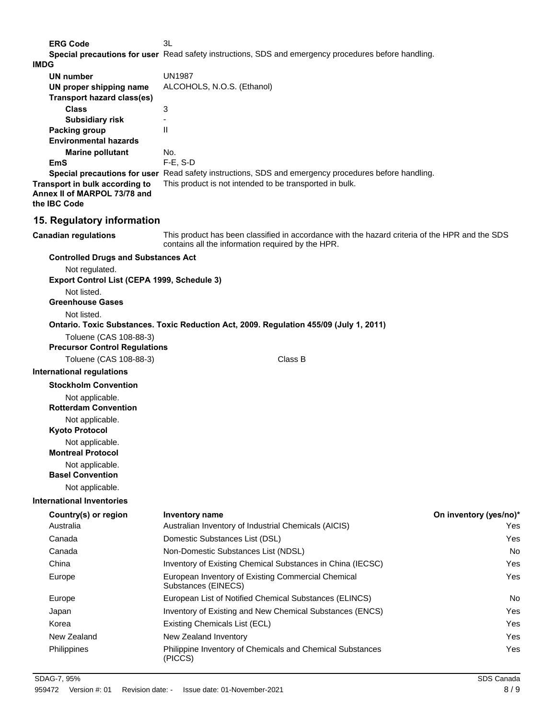**ERG Code** 3L **Special precautions for user** Read safety instructions, SDS and emergency procedures before handling.

|  | w<br>۰. |  |
|--|---------|--|
|  | ۰.      |  |

| <b>IMDG</b>                                    |                                                                                                                                                     |                        |
|------------------------------------------------|-----------------------------------------------------------------------------------------------------------------------------------------------------|------------------------|
| UN number                                      | <b>UN1987</b>                                                                                                                                       |                        |
| UN proper shipping name                        | ALCOHOLS, N.O.S. (Ethanol)                                                                                                                          |                        |
| <b>Transport hazard class(es)</b>              |                                                                                                                                                     |                        |
| <b>Class</b>                                   | 3                                                                                                                                                   |                        |
| <b>Subsidiary risk</b><br><b>Packing group</b> | $\mathbf{H}$                                                                                                                                        |                        |
| <b>Environmental hazards</b>                   |                                                                                                                                                     |                        |
| <b>Marine pollutant</b>                        | No.                                                                                                                                                 |                        |
| <b>EmS</b>                                     | $F-E$ , S-D                                                                                                                                         |                        |
|                                                | Special precautions for user Read safety instructions, SDS and emergency procedures before handling.                                                |                        |
| Transport in bulk according to                 | This product is not intended to be transported in bulk.                                                                                             |                        |
| Annex II of MARPOL 73/78 and<br>the IBC Code   |                                                                                                                                                     |                        |
|                                                |                                                                                                                                                     |                        |
| 15. Regulatory information                     |                                                                                                                                                     |                        |
| <b>Canadian regulations</b>                    | This product has been classified in accordance with the hazard criteria of the HPR and the SDS<br>contains all the information required by the HPR. |                        |
| <b>Controlled Drugs and Substances Act</b>     |                                                                                                                                                     |                        |
| Not regulated.                                 |                                                                                                                                                     |                        |
| Export Control List (CEPA 1999, Schedule 3)    |                                                                                                                                                     |                        |
| Not listed.<br><b>Greenhouse Gases</b>         |                                                                                                                                                     |                        |
| Not listed.                                    |                                                                                                                                                     |                        |
|                                                | Ontario. Toxic Substances. Toxic Reduction Act, 2009. Regulation 455/09 (July 1, 2011)                                                              |                        |
| Toluene (CAS 108-88-3)                         |                                                                                                                                                     |                        |
| <b>Precursor Control Regulations</b>           |                                                                                                                                                     |                        |
| Toluene (CAS 108-88-3)                         | Class B                                                                                                                                             |                        |
| <b>International regulations</b>               |                                                                                                                                                     |                        |
| <b>Stockholm Convention</b>                    |                                                                                                                                                     |                        |
| Not applicable.                                |                                                                                                                                                     |                        |
| <b>Rotterdam Convention</b>                    |                                                                                                                                                     |                        |
| Not applicable.                                |                                                                                                                                                     |                        |
| <b>Kyoto Protocol</b>                          |                                                                                                                                                     |                        |
| Not applicable.                                |                                                                                                                                                     |                        |
| <b>Montreal Protocol</b>                       |                                                                                                                                                     |                        |
| Not applicable.<br><b>Basel Convention</b>     |                                                                                                                                                     |                        |
| Not applicable.                                |                                                                                                                                                     |                        |
|                                                |                                                                                                                                                     |                        |
| <b>International Inventories</b>               |                                                                                                                                                     |                        |
| Country(s) or region                           | <b>Inventory name</b>                                                                                                                               | On inventory (yes/no)* |
| Australia                                      | Australian Inventory of Industrial Chemicals (AICIS)                                                                                                | Yes                    |
| Canada                                         | Domestic Substances List (DSL)                                                                                                                      | Yes                    |
| Canada                                         | Non-Domestic Substances List (NDSL)                                                                                                                 | No                     |
| China                                          | Inventory of Existing Chemical Substances in China (IECSC)                                                                                          | Yes                    |
| Europe                                         | European Inventory of Existing Commercial Chemical<br>Substances (EINECS)                                                                           | Yes                    |
| Europe                                         | European List of Notified Chemical Substances (ELINCS)                                                                                              | No                     |
| Japan                                          | Inventory of Existing and New Chemical Substances (ENCS)                                                                                            | Yes                    |
| Korea                                          | Existing Chemicals List (ECL)                                                                                                                       | Yes                    |
| New Zealand                                    | New Zealand Inventory                                                                                                                               | Yes                    |
| Philippines                                    | Philippine Inventory of Chemicals and Chemical Substances<br>(PICCS)                                                                                | Yes                    |
|                                                |                                                                                                                                                     |                        |